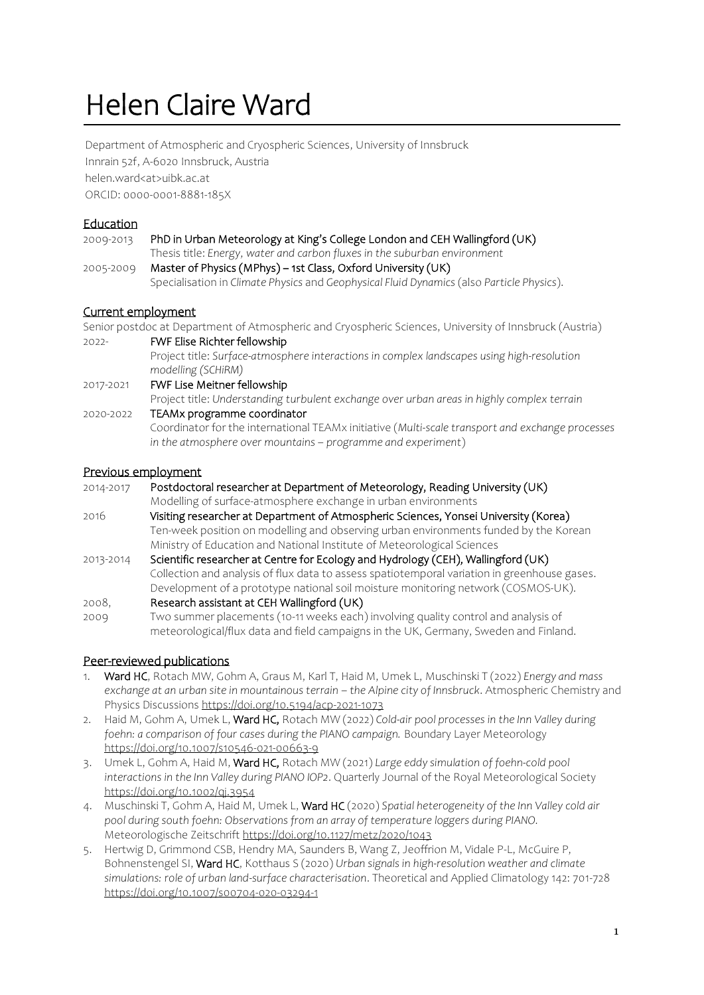# Helen Claire Ward

Department of Atmospheric and Cryospheric Sciences, University of Innsbruck Innrain 52f, A-6020 Innsbruck, Austria helen.ward<at>uibk.ac.at ORCID: 0000-0001-8881-185X

# Education

| 2009-2013                 | PhD in Urban Meteorology at King's College London and CEH Wallingford (UK)                |
|---------------------------|-------------------------------------------------------------------------------------------|
|                           | Thesis title: Energy, water and carbon fluxes in the suburban environment                 |
| 2005-2009                 | Master of Physics (MPhys) – 1st Class, Oxford University (UK)                             |
|                           | Specialisation in Climate Physics and Geophysical Fluid Dynamics (also Particle Physics). |
| <u>Current employment</u> |                                                                                           |
|                           |                                                                                           |

Senior postdoc at Department of Atmospheric and Cryospheric Sciences, University of Innsbruck (Austria)

2022- FWF Elise Richter fellowship

Project title: *Surface-atmosphere interactions in complex landscapes using high-resolution modelling (SCHiRM)*

2017-2021 FWF Lise Meitner fellowship

Project title: *Understanding turbulent exchange over urban areas in highly complex terrain*  2020-2022 TEAMx programme coordinator

Coordinator for the international TEAMx initiative (*Multi-scale transport and exchange processes in the atmosphere over mountains – programme and experiment*)

## Previous employment

| 2014-2017 | Postdoctoral researcher at Department of Meteorology, Reading University (UK)      |
|-----------|------------------------------------------------------------------------------------|
|           | Modelling of surface-atmosphere exchange in urban environments                     |
| 2016.     | Visiting researcher at Department of Atmospheric Sciences, Yonsei University (Kore |

1g researcner at Department of Atmospheric Sciences, Yonsei University (Korea)<br>. Ten-week position on modelling and observing urban environments funded by the Korean Ministry of Education and National Institute of Meteorological Sciences

2013-2014 Scientific researcher at Centre for Ecology and Hydrology (CEH), Wallingford (UK) Collection and analysis of flux data to assess spatiotemporal variation in greenhouse gases. Development of a prototype national soil moisture monitoring network (COSMOS-UK).

- 2008, Research assistant at CEH Wallingford (UK)
- 2009 Two summer placements (10-11 weeks each) involving quality control and analysis of meteorological/flux data and field campaigns in the UK, Germany, Sweden and Finland.

# Peer-reviewed publications

- 1. Ward HC, Rotach MW, Gohm A, Graus M, Karl T, Haid M, Umek L, Muschinski T (2022) *Energy and mass exchange at an urban site in mountainous terrain – the Alpine city of Innsbruck*. Atmospheric Chemistry and Physics Discussion[s https://doi.org/10.5194/acp-2021-1073](https://doi.org/10.5194/acp-2021-1073)
- 2. Haid M, Gohm A, Umek L, Ward HC, Rotach MW (2022) *Cold-air pool processes in the Inn Valley during*  foehn: a comparison of four cases during the PIANO campaign. Boundary Layer Meteorology <https://doi.org/10.1007/s10546-021-00663-9>
- 3. Umek L, Gohm A, Haid M, Ward HC, Rotach MW (2021) *Large eddy simulation of foehn-cold pool interactions in the Inn Valley during PIANO IOP2*. Quarterly Journal of the Royal Meteorological Society <https://doi.org/10.1002/qj.3954>
- 4. Muschinski T, Gohm A, Haid M, Umek L, Ward HC (2020) *Spatial heterogeneity of the Inn Valley cold air pool during south foehn: Observations from an array of temperature loggers during PIANO.* Meteorologische Zeitschrift <https://doi.org/10.1127/metz/2020/1043>
- 5. Hertwig D, Grimmond CSB, Hendry MA, Saunders B, Wang Z, Jeoffrion M, Vidale P-L, McGuire P, Bohnenstengel SI, Ward HC, Kotthaus S (2020) *Urban signals in high-resolution weather and climate simulations: role of urban land-surface characterisation*. Theoretical and Applied Climatology 142: 701-728 <https://doi.org/10.1007/s00704-020-03294-1>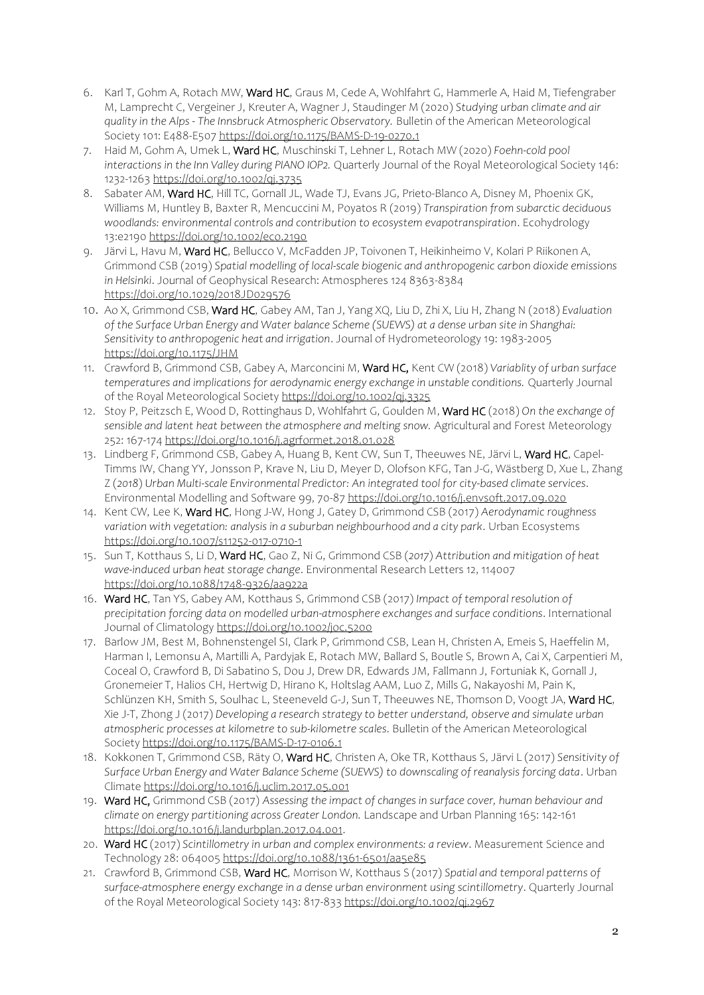- 6. Karl T, Gohm A, Rotach MW, Ward HC, Graus M, Cede A, Wohlfahrt G, Hammerle A, Haid M, Tiefengraber M, Lamprecht C, Vergeiner J, Kreuter A, Wagner J, Staudinger M (2020) *Studying urban climate and air quality in the Alps - The Innsbruck Atmospheric Observatory.* Bulletin of the American Meteorological Society 101: E488-E50[7 https://doi.org/10.1175/BAMS-D-19-0270.1](https://doi.org/10.1175/BAMS-D-19-0270.1)
- 7. Haid M, Gohm A, Umek L, Ward HC, Muschinski T, Lehner L, Rotach MW (2020) *Foehn-cold pool interactions in the Inn Valley during PIANO IOP2.* Quarterly Journal of the Royal Meteorological Society 146: 1232-126[3 https://doi.org/10.1002/qj.3735](https://doi.org/10.1002/qj.3735)
- 8. Sabater AM, Ward HC, Hill TC, Gornall JL, Wade TJ, Evans JG, Prieto-Blanco A, Disney M, Phoenix GK, Williams M, Huntley B, Baxter R, Mencuccini M, Poyatos R (2019) *Transpiration from subarctic deciduous woodlands: environmental controls and contribution to ecosystem evapotranspiration*. Ecohydrology 13:e2190<https://doi.org/10.1002/eco.2190>
- 9. Järvi L, Havu M, Ward HC, Bellucco V, McFadden JP, Toivonen T, Heikinheimo V, Kolari P Riikonen A, Grimmond CSB (2019) *Spatial modelling of local-scale biogenic and anthropogenic carbon dioxide emissions in Helsinki*. Journal of Geophysical Research: Atmospheres 124 8363-8384 <https://doi.org/10.1029/2018JD029576>
- 10. Ao X, Grimmond CSB, Ward HC, Gabey AM, Tan J, Yang XQ, Liu D, Zhi X, Liu H, Zhang N (2018) *Evaluation of the Surface Urban Energy and Water balance Scheme (SUEWS) at a dense urban site in Shanghai: Sensitivity to anthropogenic heat and irrigation*. Journal of Hydrometeorology 19: 1983-2005 <https://doi.org/10.1175/JHM>
- 11. Crawford B, Grimmond CSB, Gabey A, Marconcini M, Ward HC, Kent CW (2018) *Variablity of urban surface temperatures and implications for aerodynamic energy exchange in unstable conditions.* Quarterly Journal of the Royal Meteorological Societ[y https://doi.org/10.1002/qj.3325](https://doi.org/10.1002/qj.3325)
- 12. Stoy P, Peitzsch E, Wood D, Rottinghaus D, Wohlfahrt G, Goulden M, Ward HC (2018) *On the exchange of sensible and latent heat between the atmosphere and melting snow.* Agricultural and Forest Meteorology 252: 167-17[4 https://doi.org/10.1016/j.agrformet.2018.01.028](https://doi.org/10.1016/j.agrformet.2018.01.028)
- 13. Lindberg F, Grimmond CSB, Gabey A, Huang B, Kent CW, Sun T, Theeuwes NE, Järvi L, Ward HC, Capel-Timms IW, Chang YY, Jonsson P, Krave N, Liu D, Meyer D, Olofson KFG, Tan J-G, Wästberg D, Xue L, Zhang Z (*2018*) *Urban Multi-scale Environmental Predictor: An integrated tool for city-based climate services*. Environmental Modelling and Software 99, 70-87<https://doi.org/10.1016/j.envsoft.2017.09.020>
- 14. Kent CW, Lee K, Ward HC, Hong J-W, Hong J, Gatey D, Grimmond CSB (2017) *Aerodynamic roughness variation with vegetation: analysis in a suburban neighbourhood and a city park*. Urban Ecosystems <https://doi.org/10.1007/s11252-017-0710-1>
- 15. Sun T, Kotthaus S, Li D, Ward HC, Gao Z, Ni G, Grimmond CSB (*2017*) *Attribution and mitigation of heat wave-induced urban heat storage change*. Environmental Research Letters 12, 114007 <https://doi.org/10.1088/1748-9326/aa922a>
- 16. Ward HC, Tan YS, Gabey AM, Kotthaus S, Grimmond CSB (2017) *Impact of temporal resolution of precipitation forcing data on modelled urban-atmosphere exchanges and surface conditions*. International Journal of Climatolog[y https://doi.org/10.1002/joc.5200](https://doi.org/10.1002/joc.5200)
- 17. Barlow JM, Best M, Bohnenstengel SI, Clark P, Grimmond CSB, Lean H, Christen A, Emeis S, Haeffelin M, Harman I, Lemonsu A, Martilli A, Pardyjak E, Rotach MW, Ballard S, Boutle S, Brown A, Cai X, Carpentieri M, Coceal O, Crawford B, Di Sabatino S, Dou J, Drew DR, Edwards JM, Fallmann J, Fortuniak K, Gornall J, Gronemeier T, Halios CH, Hertwig D, Hirano K, Holtslag AAM, Luo Z, Mills G, Nakayoshi M, Pain K, Schlünzen KH, Smith S, Soulhac L, Steeneveld G-J, Sun T, Theeuwes NE, Thomson D, Voogt JA, Ward HC, Xie J-T, Zhong J (2017) *Developing a research strategy to better understand, observe and simulate urban atmospheric processes at kilometre to sub-kilometre scales*. Bulletin of the American Meteorological Societ[y https://doi.org/10.1175/BAMS-D-17-0106.1](https://doi.org/10.1175/BAMS-D-17-0106.1)
- 18. Kokkonen T, Grimmond CSB, Räty O, Ward HC, Christen A, Oke TR, Kotthaus S, Järvi L (2017) *Sensitivity of Surface Urban Energy and Water Balance Scheme (SUEWS) to downscaling of reanalysis forcing data*. Urban Climat[e https://doi.org/10.1016/j.uclim.2017.05.001](https://doi.org/10.1016/j.uclim.2017.05.001)
- 19. Ward HC, Grimmond CSB (2017) *Assessing the impact of changes in surface cover, human behaviour and climate on energy partitioning across Greater London.* Landscape and Urban Planning 165: 142-161 [https://doi.org/10.1016/j.landurbplan.2017.04.001.](https://doi.org/10.1016/j.landurbplan.2017.04.001)
- 20. Ward HC (2017) *Scintillometry in urban and complex environments: a review*. Measurement Science and Technology 28: 06400[5 https://doi.org/10.1088/1361-6501/aa5e85](https://doi.org/10.1088/1361-6501/aa5e85)
- 21. Crawford B, Grimmond CSB, Ward HC, Morrison W, Kotthaus S (2017) *Spatial and temporal patterns of surface-atmosphere energy exchange in a dense urban environment using scintillometry*. Quarterly Journal of the Royal Meteorological Society 143: 817-833 <https://doi.org/10.1002/qj.2967>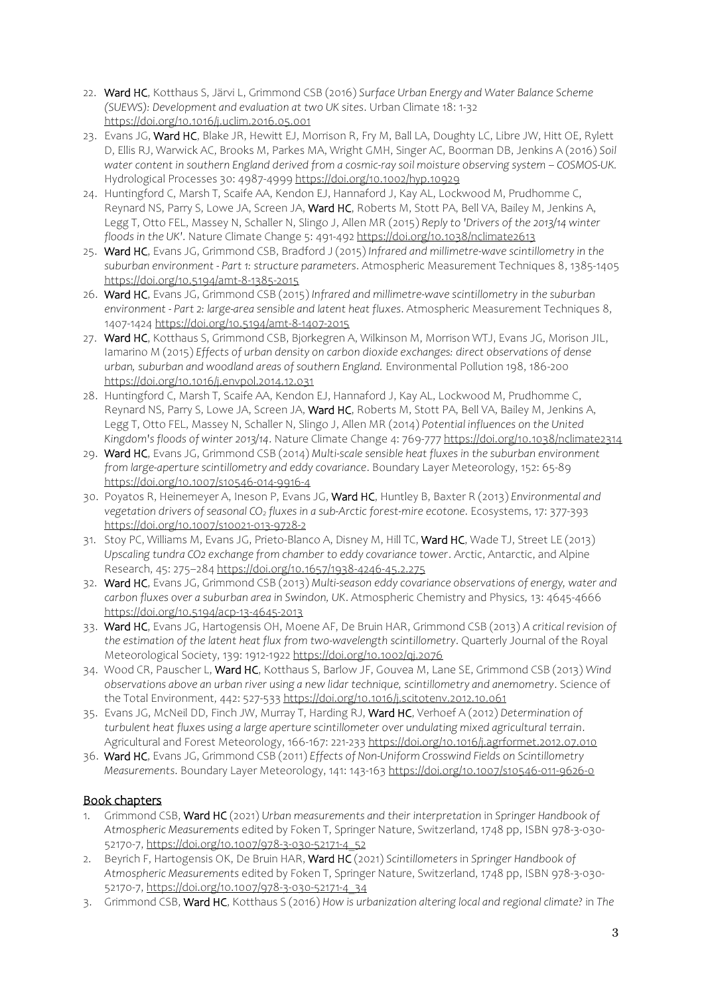- 22. Ward HC, Kotthaus S, Järvi L, Grimmond CSB (2016) *Surface Urban Energy and Water Balance Scheme (SUEWS): Development and evaluation at two UK sites*. Urban Climate 18: 1-32 <https://doi.org/10.1016/j.uclim.2016.05.001>
- 23. Evans JG, Ward HC, Blake JR, Hewitt EJ, Morrison R, Fry M, Ball LA, Doughty LC, Libre JW, Hitt OE, Rylett D, Ellis RJ, Warwick AC, Brooks M, Parkes MA, Wright GMH, Singer AC, Boorman DB, Jenkins A (2016) *Soil water content in southern England derived from a cosmic-ray soil moisture observing system – COSMOS-UK.* Hydrological Processes 30: 4987-4999<https://doi.org/10.1002/hyp.10929>
- 24. Huntingford C, Marsh T, Scaife AA, Kendon EJ, Hannaford J, Kay AL, Lockwood M, Prudhomme C, Reynard NS, Parry S, Lowe JA, Screen JA, Ward HC, Roberts M, Stott PA, Bell VA, Bailey M, Jenkins A, Legg T, Otto FEL, Massey N, Schaller N, Slingo J, Allen MR (2015) *Reply to 'Drivers of the 2013/14 winter floods in the UK'*. Nature Climate Change 5: 491-492<https://doi.org/10.1038/nclimate2613>
- 25. Ward HC, Evans JG, Grimmond CSB, Bradford J (2015) *Infrared and millimetre-wave scintillometry in the suburban environment - Part 1: structure parameters*. Atmospheric Measurement Techniques 8, 1385-1405 <https://doi.org/10.5194/amt-8-1385-2015>
- 26. Ward HC, Evans JG, Grimmond CSB (2015) *Infrared and millimetre-wave scintillometry in the suburban environment - Part 2: large-area sensible and latent heat fluxes*. Atmospheric Measurement Techniques 8, 1407-1424<https://doi.org/10.5194/amt-8-1407-2015>
- 27. Ward HC, Kotthaus S, Grimmond CSB, Bjorkegren A, Wilkinson M, Morrison WTJ, Evans JG, Morison JIL, Iamarino M (2015) *Effects of urban density on carbon dioxide exchanges: direct observations of dense urban, suburban and woodland areas of southern England.* Environmental Pollution 198, 186-200 <https://doi.org/10.1016/j.envpol.2014.12.031>
- 28. Huntingford C, Marsh T, Scaife AA, Kendon EJ, Hannaford J, Kay AL, Lockwood M, Prudhomme C, Reynard NS, Parry S, Lowe JA, Screen JA, Ward HC, Roberts M, Stott PA, Bell VA, Bailey M, Jenkins A, Legg T, Otto FEL, Massey N, Schaller N, Slingo J, Allen MR (2014) *Potential influences on the United Kingdom's floods of winter 2013/14*. Nature Climate Change 4: 769-77[7 https://doi.org/10.1038/nclimate2314](https://doi.org/10.1038/nclimate2314)
- 29. Ward HC, Evans JG, Grimmond CSB (2014) *Multi-scale sensible heat fluxes in the suburban environment from large-aperture scintillometry and eddy covariance*. Boundary Layer Meteorology, 152: 65-89 <https://doi.org/10.1007/s10546-014-9916-4>
- 30. Poyatos R, Heinemeyer A, Ineson P, Evans JG, Ward HC, Huntley B, Baxter R (2013) *Environmental and vegetation drivers of seasonal CO<sup>2</sup> fluxes in a sub-Arctic forest-mire ecotone*. Ecosystems, 17: 377-393 <https://doi.org/10.1007/s10021-013-9728-2>
- 31. Stoy PC, Williams M, Evans JG, Prieto-Blanco A, Disney M, Hill TC, Ward HC, Wade TJ, Street LE (2013) *Upscaling tundra CO2 exchange from chamber to eddy covariance tower*. Arctic, Antarctic, and Alpine Research, 45: 275–28[4 https://doi.org/10.1657/1938-4246-45.2.275](https://doi.org/10.1657/1938-4246-45.2.275)
- 32. Ward HC, Evans JG, Grimmond CSB (2013) *Multi-season eddy covariance observations of energy, water and carbon fluxes over a suburban area in Swindon, UK*. Atmospheric Chemistry and Physics*,* 13: 4645-4666 <https://doi.org/10.5194/acp-13-4645-2013>
- 33. Ward HC, Evans JG, Hartogensis OH, Moene AF, De Bruin HAR, Grimmond CSB (2013) *A critical revision of the estimation of the latent heat flux from two-wavelength scintillometry*. Quarterly Journal of the Royal Meteorological Society, 139: 1912-1922<https://doi.org/10.1002/qj.2076>
- 34. Wood CR, Pauscher L, Ward HC, Kotthaus S, Barlow JF, Gouvea M, Lane SE, Grimmond CSB (2013) *Wind observations above an urban river using a new lidar technique, scintillometry and anemometry*. Science of the Total Environment, 442: 527-53[3 https://doi.org/10.1016/j.scitotenv.2012.10.061](https://doi.org/10.1016/j.scitotenv.2012.10.061)
- 35. Evans JG, McNeil DD, Finch JW, Murray T, Harding RJ, Ward HC, Verhoef A (2012) *Determination of turbulent heat fluxes using a large aperture scintillometer over undulating mixed agricultural terrain*. Agricultural and Forest Meteorology, 166-167: 221-23[3 https://doi.org/10.1016/j.agrformet.2012.07.010](https://doi.org/10.1016/j.agrformet.2012.07.010)
- 36. Ward HC, Evans JG, Grimmond CSB (2011) *Effects of Non-Uniform Crosswind Fields on Scintillometry Measurements*. Boundary Layer Meteorology, 141: 143-16[3 https://doi.org/10.1007/s10546-011-9626-0](https://doi.org/10.1007/s10546-011-9626-0)

# Book chapters

- 1. Grimmond CSB, Ward HC (2021) *Urban measurements and their interpretation* in *Springer Handbook of Atmospheric Measurements* edited by Foken T, Springer Nature, Switzerland, 1748 pp, ISBN 978-3-030- 52170-7, [https://doi.org/10.1007/978-3-030-52171-4\\_52](https://doi.org/10.1007/978-3-030-52171-4_52)
- 2. Beyrich F, Hartogensis OK, De Bruin HAR, Ward HC (2021) *Scintillometers* in *Springer Handbook of Atmospheric Measurements* edited by Foken T, Springer Nature, Switzerland, 1748 pp, ISBN 978-3-030- 52170-7, [https://doi.org/10.1007/978-3-030-52171-4\\_34](https://doi.org/10.1007/978-3-030-52171-4_34)
- 3. Grimmond CSB, Ward HC, Kotthaus S (2016) *How is urbanization altering local and regional climate?* in *The*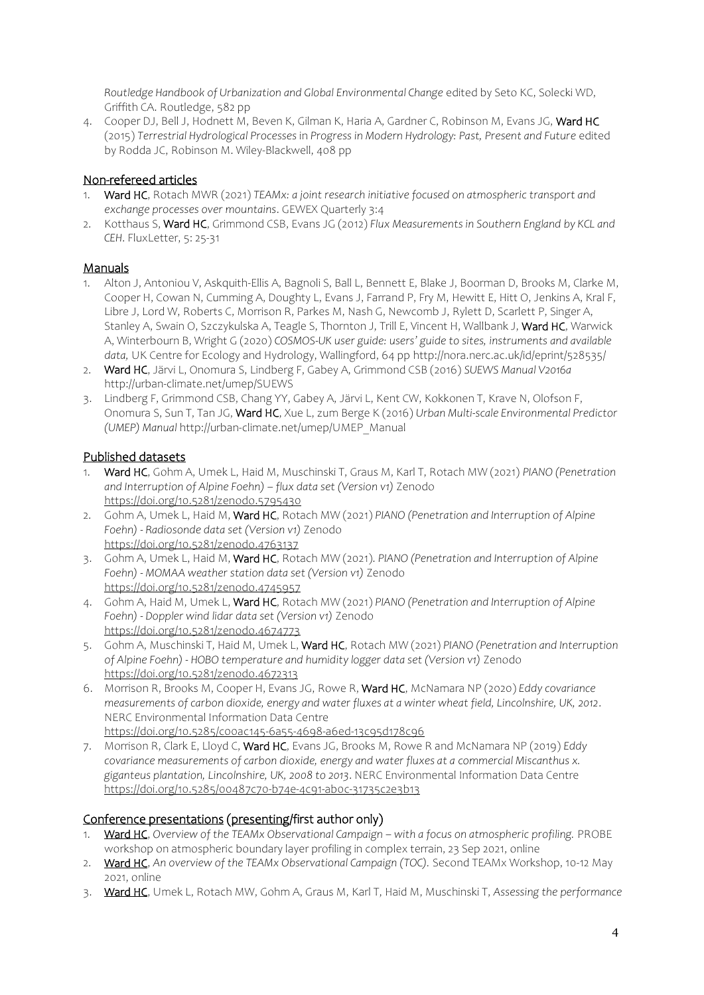*Routledge Handbook of Urbanization and Global Environmental Change* edited by Seto KC, Solecki WD, Griffith CA. Routledge, 582 pp

4. Cooper DJ, Bell J, Hodnett M, Beven K, Gilman K, Haria A, Gardner C, Robinson M, Evans JG, Ward HC (2015) *Terrestrial Hydrological Processes* in *Progress in Modern Hydrology: Past, Present and Future* edited by Rodda JC, Robinson M. Wiley-Blackwell, 408 pp

## Non-refereed articles

- 1. Ward HC, Rotach MWR (2021) *TEAMx: a joint research initiative focused on atmospheric transport and exchange processes over mountains*. GEWEX Quarterly 3:4
- 2. Kotthaus S, Ward HC, Grimmond CSB, Evans JG (2012) *Flux Measurements in Southern England by KCL and CEH*. FluxLetter, 5: 25-31

## Manuals

- 1. Alton J, Antoniou V, Askquith-Ellis A, Bagnoli S, Ball L, Bennett E, Blake J, Boorman D, Brooks M, Clarke M, Cooper H, Cowan N, Cumming A, Doughty L, Evans J, Farrand P, Fry M, Hewitt E, Hitt O, Jenkins A, Kral F, Libre J, Lord W, Roberts C, Morrison R, Parkes M, Nash G, Newcomb J, Rylett D, Scarlett P, Singer A, Stanley A, Swain O, Szczykulska A, Teagle S, Thornton J, Trill E, Vincent H, Wallbank J, Ward HC, Warwick A, Winterbourn B, Wright G (2020) *COSMOS-UK user guide: users' guide to sites, instruments and available data,* UK Centre for Ecology and Hydrology, Wallingford, 64 p[p http://nora.nerc.ac.uk/id/eprint/528535/](http://nora.nerc.ac.uk/id/eprint/528535/)
- 2. Ward HC, Järvi L, Onomura S, Lindberg F, Gabey A, Grimmond CSB (2016) *SUEWS Manual V2016a* <http://urban-climate.net/umep/SUEWS>
- 3. Lindberg F, Grimmond CSB, Chang YY, Gabey A, Järvi L, Kent CW, Kokkonen T, Krave N, Olofson F, Onomura S, Sun T, Tan JG, Ward HC, Xue L, zum Berge K (2016) *Urban Multi-scale Environmental Predictor (UMEP) Manual* [http://urban-climate.net/umep/UMEP\\_Manual](http://urbanclimate.net/umep/UMEP_Manual)

# Published datasets

- 1. Ward HC, Gohm A, Umek L, Haid M, Muschinski T, Graus M, Karl T, Rotach MW (2021) *PIANO (Penetration and Interruption of Alpine Foehn) – flux data set (Version v1)* Zenodo <https://doi.org/10.5281/zenodo.5795430>
- 2. Gohm A, Umek L, Haid M, Ward HC, Rotach MW (2021) *PIANO (Penetration and Interruption of Alpine Foehn) - Radiosonde data set (Version v1)* Zenodo <https://doi.org/10.5281/zenodo.4763137>
- 3. Gohm A, Umek L, Haid M, Ward HC, Rotach MW (2021). *PIANO (Penetration and Interruption of Alpine Foehn) - MOMAA weather station data set (Version v1)* Zenodo <https://doi.org/10.5281/zenodo.4745957>
- 4. Gohm A, Haid M, Umek L, Ward HC, Rotach MW (2021) *PIANO (Penetration and Interruption of Alpine Foehn) - Doppler wind lidar data set (Version v1)* Zenodo <https://doi.org/10.5281/zenodo.4674773>
- 5. Gohm A, Muschinski T, Haid M, Umek L, Ward HC, Rotach MW (2021) *PIANO (Penetration and Interruption of Alpine Foehn) - HOBO temperature and humidity logger data set (Version v1)* Zenodo <https://doi.org/10.5281/zenodo.4672313>
- 6. Morrison R, Brooks M, Cooper H, Evans JG, Rowe R, Ward HC, McNamara NP (2020) *Eddy covariance measurements of carbon dioxide, energy and water fluxes at a winter wheat field, Lincolnshire, UK, 2012*. NERC Environmental Information Data Centre <https://doi.org/10.5285/c00ac145-6a55-4698-a6ed-13c95d178c96>
- 7. Morrison R, Clark E, Lloyd C, Ward HC, Evans JG, Brooks M, Rowe R and McNamara NP (2019) *Eddy covariance measurements of carbon dioxide, energy and water fluxes at a commercial Miscanthus x. giganteus plantation, Lincolnshire, UK, 2008 to 2013*. NERC Environmental Information Data Centre <https://doi.org/10.5285/00487c70-b74e-4c91-ab0c-31735c2e3b13>

## Conference presentations (presenting/first author only)

- 1. Ward HC, *Overview of the TEAMx Observational Campaign – with a focus on atmospheric profiling.* PROBE workshop on atmospheric boundary layer profiling in complex terrain, 23 Sep 2021, online
- 2. Ward HC, *An overview of the TEAMx Observational Campaign (TOC).* Second TEAMx Workshop, 10-12 May 2021, online
- 3. Ward HC, Umek L, Rotach MW, Gohm A, Graus M, Karl T, Haid M, Muschinski T, *Assessing the performance*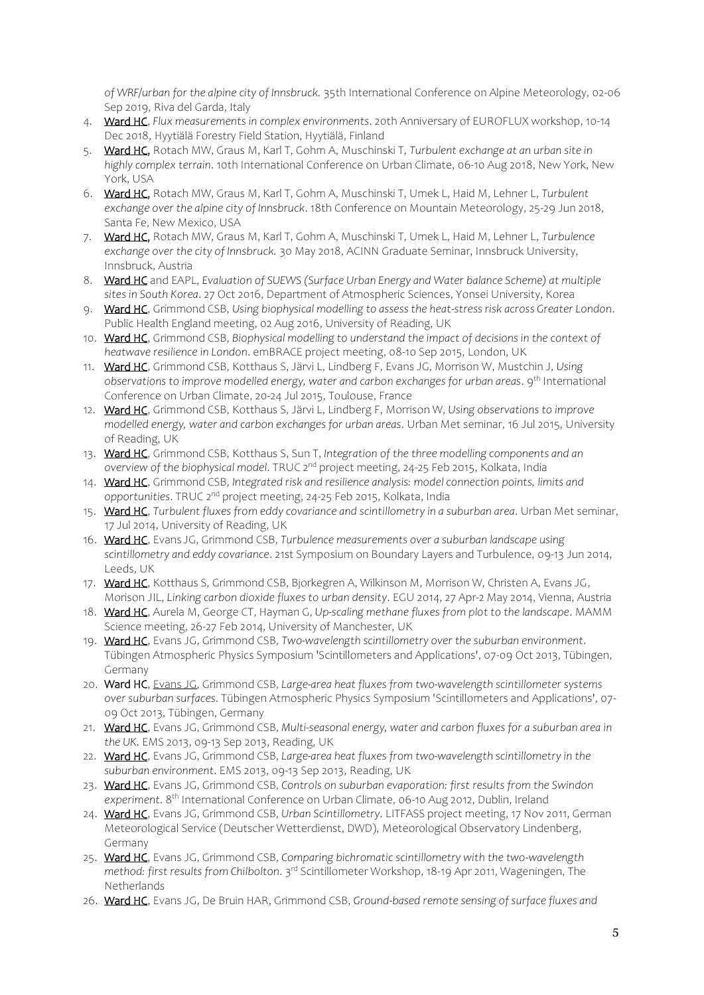*of WRF/urban for the alpine city of Innsbruck.* 35th International Conference on Alpine Meteorology, 02-06 Sep 2019, Riva del Garda, Italy

- 4. Ward HC, *Flux measurements in complex environments*. 20th Anniversary of EUROFLUX workshop, 10-14 Dec 2018, Hyytiälä Forestry Field Station, Hyytiälä, Finland
- 5. Ward HC, Rotach MW, Graus M, Karl T, Gohm A, Muschinski T, *Turbulent exchange at an urban site in highly complex terrain*. 10th International Conference on Urban Climate, 06-10 Aug 2018, New York, New York, USA
- 6. Ward HC, Rotach MW, Graus M, Karl T, Gohm A, Muschinski T, Umek L, Haid M, Lehner L, *Turbulent exchange over the alpine city of Innsbruck*. 18th Conference on Mountain Meteorology, 25-29 Jun 2018, Santa Fe, New Mexico, USA
- 7. Ward HC, Rotach MW, Graus M, Karl T, Gohm A, Muschinski T, Umek L, Haid M, Lehner L, *Turbulence exchange over the city of Innsbruck.* 30 May 2018, ACINN Graduate Seminar, Innsbruck University, Innsbruck, Austria
- 8. Ward HC and EAPL, *Evaluation of SUEWS (Surface Urban Energy and Water balance Scheme) at multiple sites in South Korea*. 27 Oct 2016, Department of Atmospheric Sciences, Yonsei University, Korea
- 9. Ward HC, Grimmond CSB, *Using biophysical modelling to assess the heat-stress risk across Greater London*. Public Health England meeting, 02 Aug 2016, University of Reading, UK
- 10. Ward HC, Grimmond CSB, *Biophysical modelling to understand the impact of decisions in the context of heatwave resilience in London*. emBRACE project meeting, 08-10 Sep 2015, London, UK
- 11. Ward HC, Grimmond CSB, Kotthaus S, Järvi L, Lindberg F, Evans JG, Morrison W, Mustchin J, *Using*  observations to improve modelled energy, water and carbon exchanges for urban areas. 9<sup>th</sup> International Conference on Urban Climate, 20-24 Jul 2015, Toulouse, France
- 12. Ward HC, Grimmond CSB, Kotthaus S, Järvi L, Lindberg F, Morrison W, *Using observations to improve modelled energy, water and carbon exchanges for urban areas*. Urban Met seminar, 16 Jul 2015, University of Reading, UK
- 13. Ward HC, Grimmond CSB, Kotthaus S, Sun T, *Integration of the three modelling components and an overview of the biophysical model*. TRUC 2nd project meeting, 24-25 Feb 2015, Kolkata, India
- 14. Ward HC, Grimmond CSB, *Integrated risk and resilience analysis: model connection points, limits and opportunities*. TRUC 2nd project meeting, 24-25 Feb 2015, Kolkata, India
- 15. Ward HC, *Turbulent fluxes from eddy covariance and scintillometry in a suburban area*. Urban Met seminar, 17 Jul 2014, University of Reading, UK
- 16. Ward HC, Evans JG, Grimmond CSB, *Turbulence measurements over a suburban landscape using scintillometry and eddy covariance*. 21st Symposium on Boundary Layers and Turbulence, 09-13 Jun 2014, Leeds, UK
- 17. Ward HC, Kotthaus S, Grimmond CSB, Bjorkegren A, Wilkinson M, Morrison W, Christen A, Evans JG, Morison JIL, *Linking carbon dioxide fluxes to urban density*. EGU 2014, 27 Apr-2 May 2014, Vienna, Austria
- 18. Ward HC, Aurela M, George CT, Hayman G, *Up-scaling methane fluxes from plot to the landscape*. MAMM Science meeting, 26-27 Feb 2014, University of Manchester, UK
- 19. Ward HC, Evans JG, Grimmond CSB, *Two-wavelength scintillometry over the suburban environment*. Tübingen Atmospheric Physics Symposium 'Scintillometers and Applications', 07-09 Oct 2013, Tübingen, Germany
- 20. Ward HC, Evans JG, Grimmond CSB, *Large-area heat fluxes from two-wavelength scintillometer systems over suburban surfaces*. Tübingen Atmospheric Physics Symposium 'Scintillometers and Applications', 07- 09 Oct 2013, Tübingen, Germany
- 21. Ward HC, Evans JG, Grimmond CSB, *Multi-seasonal energy, water and carbon fluxes for a suburban area in the UK*. EMS 2013, 09-13 Sep 2013, Reading, UK
- 22. Ward HC, Evans JG, Grimmond CSB, *Large-area heat fluxes from two-wavelength scintillometry in the suburban environment*. EMS 2013, 09-13 Sep 2013, Reading, UK
- 23. Ward HC, Evans JG, Grimmond CSB, *Controls on suburban evaporation: first results from the Swindon experiment*. 8th International Conference on Urban Climate, 06-10 Aug 2012, Dublin, Ireland
- 24. Ward HC, Evans JG, Grimmond CSB, *Urban Scintillometry*. LITFASS project meeting, 17 Nov 2011, German Meteorological Service (Deutscher Wetterdienst, DWD), Meteorological Observatory Lindenberg, Germany
- 25. Ward HC, Evans JG, Grimmond CSB, *Comparing bichromatic scintillometry with the two-wavelength method: first results from Chilbolton*. 3rd Scintillometer Workshop, 18-19 Apr 2011, Wageningen, The Netherlands
- 26. Ward HC, Evans JG, De Bruin HAR, Grimmond CSB, *Ground-based remote sensing of surface fluxes and*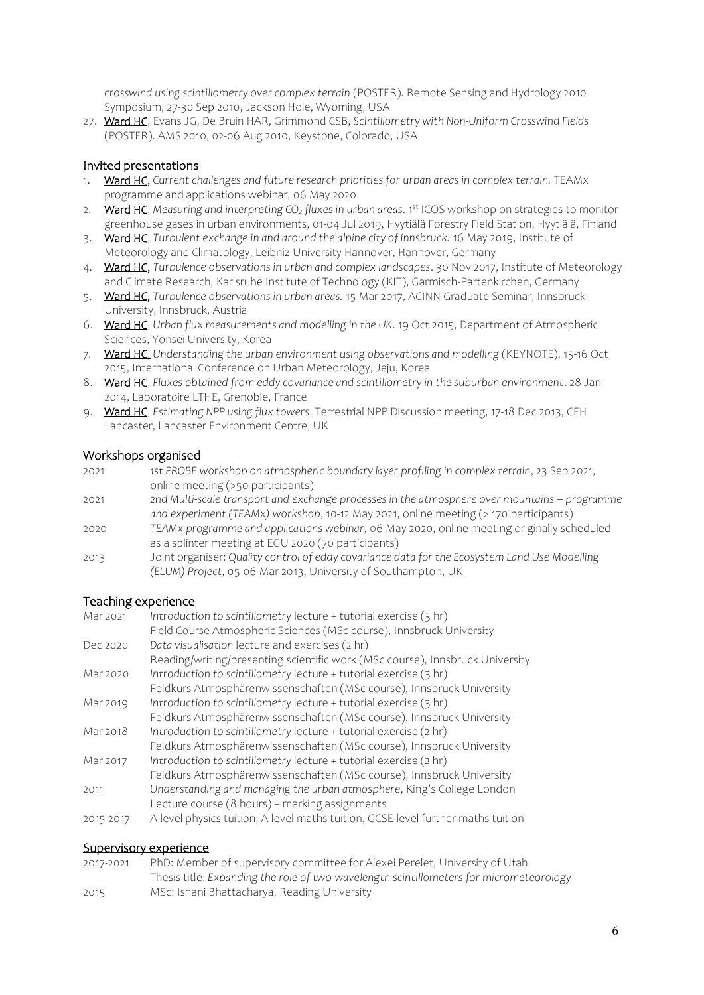*crosswind using scintillometry over complex terrain* (POSTER). Remote Sensing and Hydrology 2010 Symposium, 27-30 Sep 2010, Jackson Hole, Wyoming, USA

27. Ward HC, Evans JG, De Bruin HAR, Grimmond CSB, *Scintillometry with Non-Uniform Crosswind Fields* (POSTER). AMS 2010, 02-06 Aug 2010, Keystone, Colorado, USA

#### Invited presentations

- 1. Ward HC, *Current challenges and future research priorities for urban areas in complex terrain.* TEAMx programme and applications webinar, 06 May 2020
- 2. Ward HC, *Measuring and interpreting CO<sup>2</sup> fluxes in urban areas*. 1st ICOS workshop on strategies to monitor greenhouse gases in urban environments, 01-04 Jul 2019, Hyytiälä Forestry Field Station, Hyytiälä, Finland
- 3. Ward HC, *Turbulent exchange in and around the alpine city of Innsbruck.* 16 May 2019, Institute of Meteorology and Climatology, Leibniz University Hannover, Hannover, Germany
- 4. Ward HC, *Turbulence observations in urban and complex landscapes*. 30 Nov 2017, Institute of Meteorology and Climate Research, Karlsruhe Institute of Technology (KIT), Garmisch-Partenkirchen, Germany
- 5. Ward HC, *Turbulence observations in urban areas.* 15 Mar 2017, ACINN Graduate Seminar, Innsbruck University, Innsbruck, Austria
- 6. Ward HC, *Urban flux measurements and modelling in the UK*. 19 Oct 2015, Department of Atmospheric Sciences, Yonsei University, Korea
- 7. Ward HC, *Understanding the urban environment using observations and modelling* (KEYNOTE). 15-16 Oct 2015, International Conference on Urban Meteorology, Jeju, Korea
- 8. Ward HC, *Fluxes obtained from eddy covariance and scintillometry in the suburban environment*. 28 Jan 2014, Laboratoire LTHE, Grenoble, France
- 9. Ward HC, *Estimating NPP using flux towers*. Terrestrial NPP Discussion meeting, 17-18 Dec 2013, CEH Lancaster, Lancaster Environment Centre, UK

#### Workshops organised

- 2021 *1st PROBE workshop on atmospheric boundary layer profiling in complex terrain*, 23 Sep 2021, online meeting (>50 participants) 2021 *2nd Multi-scale transport and exchange processes in the atmosphere over mountains – programme*
- *and experiment (TEAMx) workshop*, 10-12 May 2021, online meeting (> 170 participants)
- 2020 *TEAMx programme and applications webinar*, 06 May 2020, online meeting originally scheduled as a splinter meeting at EGU 2020 (70 participants)
- 2013 Joint organiser: *Quality control of eddy covariance data for the Ecosystem Land Use Modelling (ELUM) Project*, 05-06 Mar 2013, University of Southampton, UK

#### Teaching experience

| Mar 2021  | Introduction to scintillometry lecture + tutorial exercise (3 hr)                |
|-----------|----------------------------------------------------------------------------------|
|           | Field Course Atmospheric Sciences (MSc course), Innsbruck University             |
| Dec 2020  | Data visualisation lecture and exercises (2 hr)                                  |
|           | Reading/writing/presenting scientific work (MSc course), Innsbruck University    |
| Mar 2020  | Introduction to scintillometry lecture + tutorial exercise (3 hr)                |
|           | Feldkurs Atmosphärenwissenschaften (MSc course), Innsbruck University            |
| Mar 2019  | Introduction to scintillometry lecture + tutorial exercise (3 hr)                |
|           | Feldkurs Atmosphärenwissenschaften (MSc course), Innsbruck University            |
| Mar 2018  | Introduction to scintillometry lecture + tutorial exercise (2 hr)                |
|           | Feldkurs Atmosphärenwissenschaften (MSc course), Innsbruck University            |
| Mar 2017  | Introduction to scintillometry lecture + tutorial exercise (2 hr)                |
|           | Feldkurs Atmosphärenwissenschaften (MSc course), Innsbruck University            |
| 2011      | Understanding and managing the urban atmosphere, King's College London           |
|           | Lecture course (8 hours) + marking assignments                                   |
| 2015-2017 | A-level physics tuition, A-level maths tuition, GCSE-level further maths tuition |

#### Supervisory experience

| 2017-2021 | PhD: Member of supervisory committee for Alexei Perelet, University of Utah             |
|-----------|-----------------------------------------------------------------------------------------|
|           | Thesis title: Expanding the role of two-wavelength scintillometers for micrometeorology |
| 2015      | MSc: Ishani Bhattacharya, Reading University                                            |